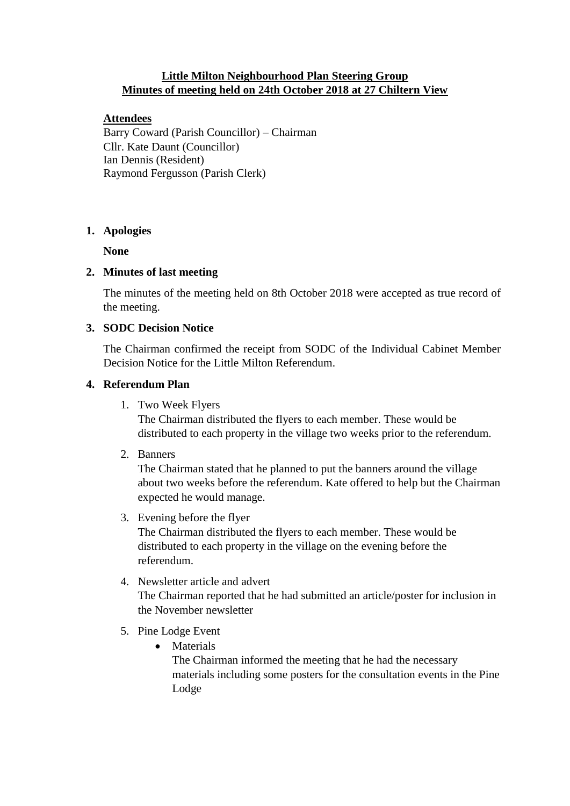## **Little Milton Neighbourhood Plan Steering Group Minutes of meeting held on 24th October 2018 at 27 Chiltern View**

## **Attendees**

Barry Coward (Parish Councillor) – Chairman Cllr. Kate Daunt (Councillor) Ian Dennis (Resident) Raymond Fergusson (Parish Clerk)

## **1. Apologies**

**None**

# **2. Minutes of last meeting**

The minutes of the meeting held on 8th October 2018 were accepted as true record of the meeting.

# **3. SODC Decision Notice**

The Chairman confirmed the receipt from SODC of the Individual Cabinet Member Decision Notice for the Little Milton Referendum.

# **4. Referendum Plan**

1. Two Week Flyers

The Chairman distributed the flyers to each member. These would be distributed to each property in the village two weeks prior to the referendum.

2. Banners

The Chairman stated that he planned to put the banners around the village about two weeks before the referendum. Kate offered to help but the Chairman expected he would manage.

3. Evening before the flyer

The Chairman distributed the flyers to each member. These would be distributed to each property in the village on the evening before the referendum.

## 4. Newsletter article and advert

The Chairman reported that he had submitted an article/poster for inclusion in the November newsletter

- 5. Pine Lodge Event
	- Materials

The Chairman informed the meeting that he had the necessary materials including some posters for the consultation events in the Pine Lodge